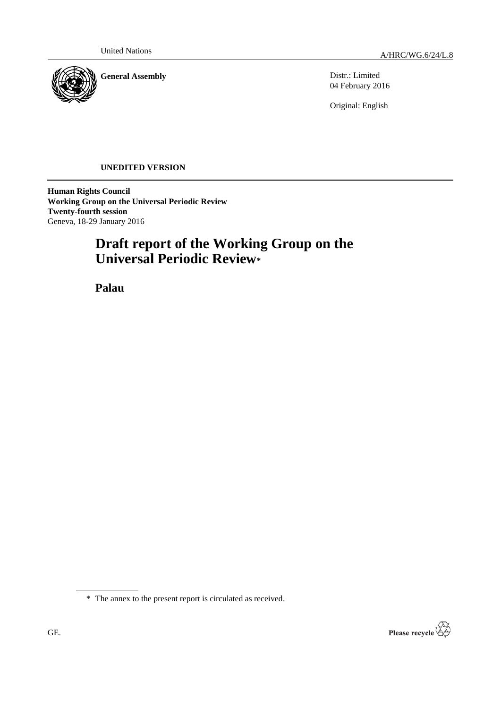

Distr.: Limited 04 February 2016

Original: English

# **UNEDITED VERSION**

**Human Rights Council Working Group on the Universal Periodic Review Twenty-fourth session** Geneva, 18-29 January 2016

# **Draft report of the Working Group on the Universal Periodic Review\***

**Palau**



<sup>\*</sup> The annex to the present report is circulated as received.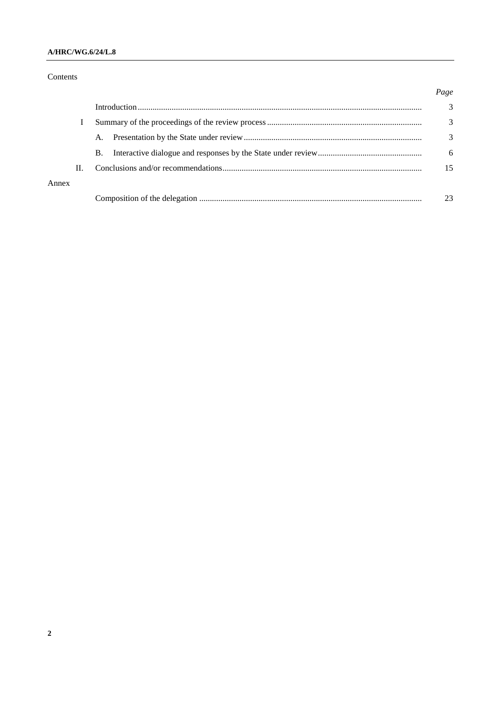# **A/HRC/WG.6/24/L.8**

# Contents

|       |    |    | Page |
|-------|----|----|------|
|       |    |    | 3    |
|       |    |    | 3    |
|       |    | A. | 3    |
|       |    | В. | 6    |
|       | Н. |    | 15   |
| Annex |    |    |      |
|       |    |    | 23   |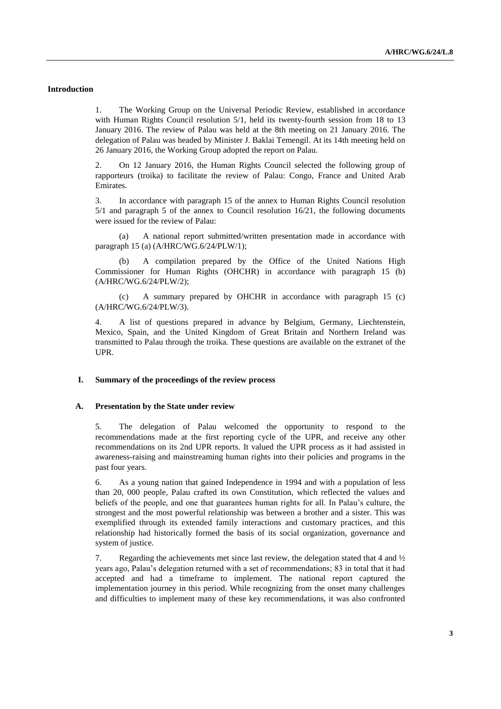## **Introduction**

1. The Working Group on the Universal Periodic Review, established in accordance with Human Rights Council resolution 5/1, held its twenty-fourth session from 18 to 13 January 2016. The review of Palau was held at the 8th meeting on 21 January 2016. The delegation of Palau was headed by Minister J. Baklai Temengil. At its 14th meeting held on 26 January 2016, the Working Group adopted the report on Palau.

2. On 12 January 2016, the Human Rights Council selected the following group of rapporteurs (troika) to facilitate the review of Palau: Congo, France and United Arab Emirates.

3. In accordance with paragraph 15 of the annex to Human Rights Council resolution 5/1 and paragraph 5 of the annex to Council resolution 16/21, the following documents were issued for the review of Palau:

(a) A national report submitted/written presentation made in accordance with paragraph 15 (a) (A/HRC/WG.6/24/PLW/1);

(b) A compilation prepared by the Office of the United Nations High Commissioner for Human Rights (OHCHR) in accordance with paragraph 15 (b) (A/HRC/WG.6/24/PLW/2);

(c) A summary prepared by OHCHR in accordance with paragraph 15 (c) (A/HRC/WG.6/24/PLW/3).

4. A list of questions prepared in advance by Belgium, Germany, Liechtenstein, Mexico, Spain, and the United Kingdom of Great Britain and Northern Ireland was transmitted to Palau through the troika. These questions are available on the extranet of the UPR.

#### **I. Summary of the proceedings of the review process**

#### **A. Presentation by the State under review**

5. The delegation of Palau welcomed the opportunity to respond to the recommendations made at the first reporting cycle of the UPR, and receive any other recommendations on its 2nd UPR reports. It valued the UPR process as it had assisted in awareness-raising and mainstreaming human rights into their policies and programs in the past four years.

6. As a young nation that gained Independence in 1994 and with a population of less than 20, 000 people, Palau crafted its own Constitution, which reflected the values and beliefs of the people, and one that guarantees human rights for all. In Palau's culture, the strongest and the most powerful relationship was between a brother and a sister. This was exemplified through its extended family interactions and customary practices, and this relationship had historically formed the basis of its social organization, governance and system of justice.

7. Regarding the achievements met since last review, the delegation stated that 4 and 1/2 years ago, Palau's delegation returned with a set of recommendations; 83 in total that it had accepted and had a timeframe to implement. The national report captured the implementation journey in this period. While recognizing from the onset many challenges and difficulties to implement many of these key recommendations, it was also confronted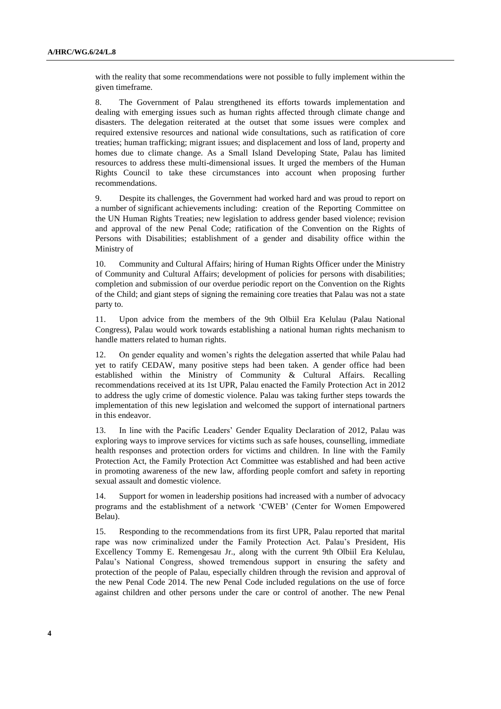with the reality that some recommendations were not possible to fully implement within the given timeframe.

8. The Government of Palau strengthened its efforts towards implementation and dealing with emerging issues such as human rights affected through climate change and disasters. The delegation reiterated at the outset that some issues were complex and required extensive resources and national wide consultations, such as ratification of core treaties; human trafficking; migrant issues; and displacement and loss of land, property and homes due to climate change. As a Small Island Developing State, Palau has limited resources to address these multi-dimensional issues. It urged the members of the Human Rights Council to take these circumstances into account when proposing further recommendations.

9. Despite its challenges, the Government had worked hard and was proud to report on a number of significant achievements including: creation of the Reporting Committee on the UN Human Rights Treaties; new legislation to address gender based violence; revision and approval of the new Penal Code; ratification of the Convention on the Rights of Persons with Disabilities; establishment of a gender and disability office within the Ministry of

10. Community and Cultural Affairs; hiring of Human Rights Officer under the Ministry of Community and Cultural Affairs; development of policies for persons with disabilities; completion and submission of our overdue periodic report on the Convention on the Rights of the Child; and giant steps of signing the remaining core treaties that Palau was not a state party to.

11. Upon advice from the members of the 9th Olbiil Era Kelulau (Palau National Congress), Palau would work towards establishing a national human rights mechanism to handle matters related to human rights.

12. On gender equality and women's rights the delegation asserted that while Palau had yet to ratify CEDAW, many positive steps had been taken. A gender office had been established within the Ministry of Community & Cultural Affairs. Recalling recommendations received at its 1st UPR, Palau enacted the Family Protection Act in 2012 to address the ugly crime of domestic violence. Palau was taking further steps towards the implementation of this new legislation and welcomed the support of international partners in this endeavor.

13. In line with the Pacific Leaders' Gender Equality Declaration of 2012, Palau was exploring ways to improve services for victims such as safe houses, counselling, immediate health responses and protection orders for victims and children. In line with the Family Protection Act, the Family Protection Act Committee was established and had been active in promoting awareness of the new law, affording people comfort and safety in reporting sexual assault and domestic violence.

14. Support for women in leadership positions had increased with a number of advocacy programs and the establishment of a network 'CWEB' (Center for Women Empowered Belau).

15. Responding to the recommendations from its first UPR, Palau reported that marital rape was now criminalized under the Family Protection Act. Palau's President, His Excellency Tommy E. Remengesau Jr., along with the current 9th Olbiil Era Kelulau, Palau's National Congress, showed tremendous support in ensuring the safety and protection of the people of Palau, especially children through the revision and approval of the new Penal Code 2014. The new Penal Code included regulations on the use of force against children and other persons under the care or control of another. The new Penal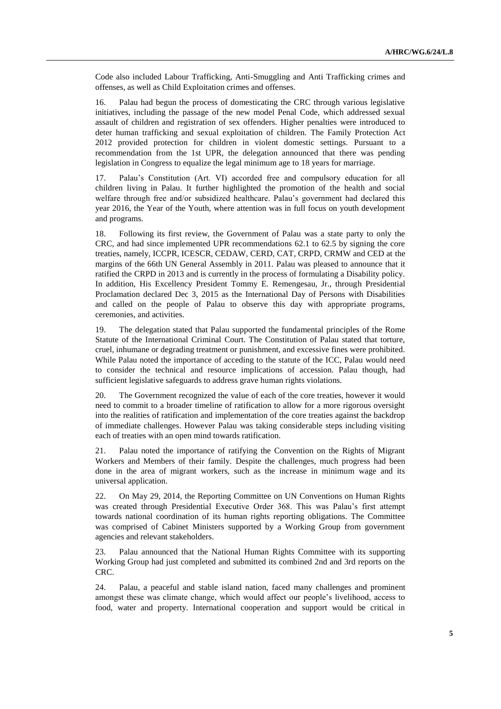Code also included Labour Trafficking, Anti-Smuggling and Anti Trafficking crimes and offenses, as well as Child Exploitation crimes and offenses.

16. Palau had begun the process of domesticating the CRC through various legislative initiatives, including the passage of the new model Penal Code, which addressed sexual assault of children and registration of sex offenders. Higher penalties were introduced to deter human trafficking and sexual exploitation of children. The Family Protection Act 2012 provided protection for children in violent domestic settings. Pursuant to a recommendation from the 1st UPR, the delegation announced that there was pending legislation in Congress to equalize the legal minimum age to 18 years for marriage.

17. Palau's Constitution (Art. VI) accorded free and compulsory education for all children living in Palau. It further highlighted the promotion of the health and social welfare through free and/or subsidized healthcare. Palau's government had declared this year 2016, the Year of the Youth, where attention was in full focus on youth development and programs.

18. Following its first review, the Government of Palau was a state party to only the CRC, and had since implemented UPR recommendations 62.1 to 62.5 by signing the core treaties, namely, ICCPR, ICESCR, CEDAW, CERD, CAT, CRPD, CRMW and CED at the margins of the 66th UN General Assembly in 2011. Palau was pleased to announce that it ratified the CRPD in 2013 and is currently in the process of formulating a Disability policy. In addition, His Excellency President Tommy E. Remengesau, Jr., through Presidential Proclamation declared Dec 3, 2015 as the International Day of Persons with Disabilities and called on the people of Palau to observe this day with appropriate programs, ceremonies, and activities.

19. The delegation stated that Palau supported the fundamental principles of the Rome Statute of the International Criminal Court. The Constitution of Palau stated that torture, cruel, inhumane or degrading treatment or punishment, and excessive fines were prohibited. While Palau noted the importance of acceding to the statute of the ICC, Palau would need to consider the technical and resource implications of accession. Palau though, had sufficient legislative safeguards to address grave human rights violations.

20. The Government recognized the value of each of the core treaties, however it would need to commit to a broader timeline of ratification to allow for a more rigorous oversight into the realities of ratification and implementation of the core treaties against the backdrop of immediate challenges. However Palau was taking considerable steps including visiting each of treaties with an open mind towards ratification.

21. Palau noted the importance of ratifying the Convention on the Rights of Migrant Workers and Members of their family. Despite the challenges, much progress had been done in the area of migrant workers, such as the increase in minimum wage and its universal application.

22. On May 29, 2014, the Reporting Committee on UN Conventions on Human Rights was created through Presidential Executive Order 368. This was Palau's first attempt towards national coordination of its human rights reporting obligations. The Committee was comprised of Cabinet Ministers supported by a Working Group from government agencies and relevant stakeholders.

23. Palau announced that the National Human Rights Committee with its supporting Working Group had just completed and submitted its combined 2nd and 3rd reports on the CRC.

24. Palau, a peaceful and stable island nation, faced many challenges and prominent amongst these was climate change, which would affect our people's livelihood, access to food, water and property. International cooperation and support would be critical in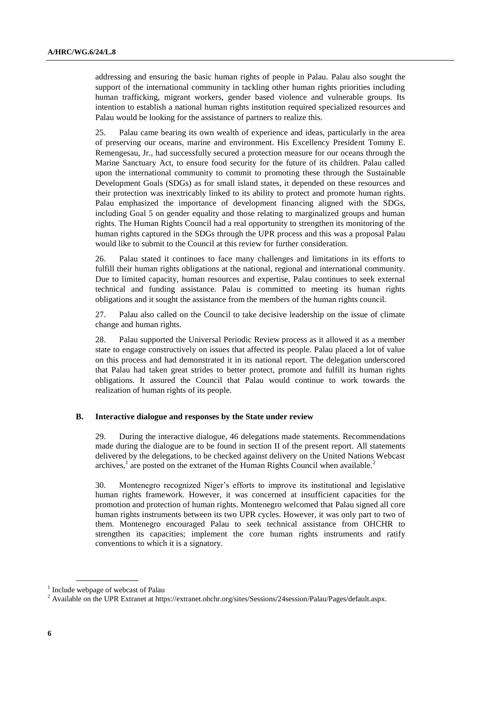addressing and ensuring the basic human rights of people in Palau. Palau also sought the support of the international community in tackling other human rights priorities including human trafficking, migrant workers, gender based violence and vulnerable groups. Its intention to establish a national human rights institution required specialized resources and Palau would be looking for the assistance of partners to realize this.

25. Palau came bearing its own wealth of experience and ideas, particularly in the area of preserving our oceans, marine and environment. His Excellency President Tommy E. Remengesau, Jr., had successfully secured a protection measure for our oceans through the Marine Sanctuary Act, to ensure food security for the future of its children. Palau called upon the international community to commit to promoting these through the Sustainable Development Goals (SDGs) as for small island states, it depended on these resources and their protection was inextricably linked to its ability to protect and promote human rights. Palau emphasized the importance of development financing aligned with the SDGs, including Goal 5 on gender equality and those relating to marginalized groups and human rights. The Human Rights Council had a real opportunity to strengthen its monitoring of the human rights captured in the SDGs through the UPR process and this was a proposal Palau would like to submit to the Council at this review for further consideration.

26. Palau stated it continues to face many challenges and limitations in its efforts to fulfill their human rights obligations at the national, regional and international community. Due to limited capacity, human resources and expertise, Palau continues to seek external technical and funding assistance. Palau is committed to meeting its human rights obligations and it sought the assistance from the members of the human rights council.

27. Palau also called on the Council to take decisive leadership on the issue of climate change and human rights.

28. Palau supported the Universal Periodic Review process as it allowed it as a member state to engage constructively on issues that affected its people. Palau placed a lot of value on this process and had demonstrated it in its national report. The delegation underscored that Palau had taken great strides to better protect, promote and fulfill its human rights obligations. It assured the Council that Palau would continue to work towards the realization of human rights of its people.

### **B. Interactive dialogue and responses by the State under review**

29. During the interactive dialogue, 46 delegations made statements. Recommendations made during the dialogue are to be found in section II of the present report. All statements delivered by the delegations, to be checked against delivery on the United Nations Webcast archives,<sup>1</sup> are posted on the extranet of the Human Rights Council when available.<sup>2</sup>

30. Montenegro recognized Niger's efforts to improve its institutional and legislative human rights framework. However, it was concerned at insufficient capacities for the promotion and protection of human rights. Montenegro welcomed that Palau signed all core human rights instruments between its two UPR cycles. However, it was only part to two of them. Montenegro encouraged Palau to seek technical assistance from OHCHR to strengthen its capacities; implement the core human rights instruments and ratify conventions to which it is a signatory.

<sup>&</sup>lt;sup>1</sup> Include webpage of webcast of Palau

<sup>&</sup>lt;sup>2</sup> Available on the UPR Extranet at https://extranet.ohchr.org/sites/Sessions/24session/Palau/Pages/default.aspx.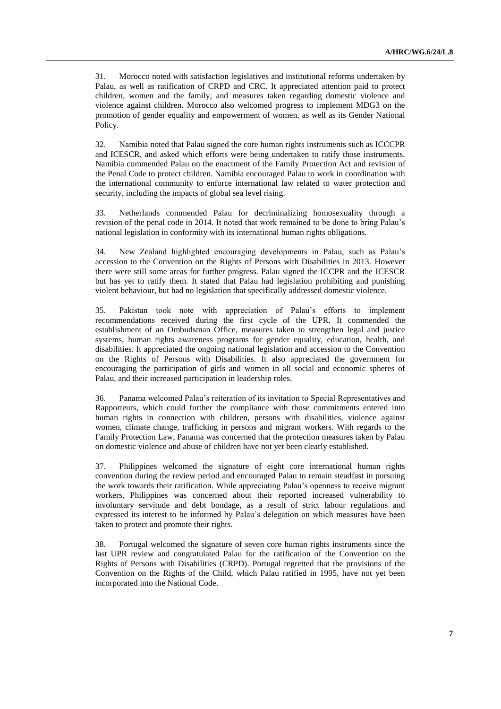31. Morocco noted with satisfaction legislatives and institutional reforms undertaken by Palau, as well as ratification of CRPD and CRC. It appreciated attention paid to protect children, women and the family, and measures taken regarding domestic violence and violence against children. Morocco also welcomed progress to implement MDG3 on the promotion of gender equality and empowerment of women, as well as its Gender National Policy.

32. Namibia noted that Palau signed the core human rights instruments such as ICCCPR and ICESCR, and asked which efforts were being undertaken to ratify those instruments. Namibia commended Palau on the enactment of the Family Protection Act and revision of the Penal Code to protect children. Namibia encouraged Palau to work in coordination with the international community to enforce international law related to water protection and security, including the impacts of global sea level rising.

33. Netherlands commended Palau for decriminalizing homosexuality through a revision of the penal code in 2014. It noted that work remained to be done to bring Palau's national legislation in conformity with its international human rights obligations.

34. New Zealand highlighted encouraging developments in Palau, such as Palau's accession to the Convention on the Rights of Persons with Disabilities in 2013. However there were still some areas for further progress. Palau signed the ICCPR and the ICESCR but has yet to ratify them. It stated that Palau had legislation prohibiting and punishing violent behaviour, but had no legislation that specifically addressed domestic violence.

35. Pakistan took note with appreciation of Palau's efforts to implement recommendations received during the first cycle of the UPR. It commended the establishment of an Ombudsman Office, measures taken to strengthen legal and justice systems, human rights awareness programs for gender equality, education, health, and disabilities. It appreciated the ongoing national legislation and accession to the Convention on the Rights of Persons with Disabilities. It also appreciated the government for encouraging the participation of girls and women in all social and economic spheres of Palau, and their increased participation in leadership roles.

36. Panama welcomed Palau's reiteration of its invitation to Special Representatives and Rapporteurs, which could further the compliance with those commitments entered into human rights in connection with children, persons with disabilities, violence against women, climate change, trafficking in persons and migrant workers. With regards to the Family Protection Law, Panama was concerned that the protection measures taken by Palau on domestic violence and abuse of children have not yet been clearly established.

37. Philippines welcomed the signature of eight core international human rights convention during the review period and encouraged Palau to remain steadfast in pursuing the work towards their ratification. While appreciating Palau's openness to receive migrant workers, Philippines was concerned about their reported increased vulnerability to involuntary servitude and debt bondage, as a result of strict labour regulations and expressed its interest to be informed by Palau's delegation on which measures have been taken to protect and promote their rights.

38. Portugal welcomed the signature of seven core human rights instruments since the last UPR review and congratulated Palau for the ratification of the Convention on the Rights of Persons with Disabilities (CRPD). Portugal regretted that the provisions of the Convention on the Rights of the Child, which Palau ratified in 1995, have not yet been incorporated into the National Code.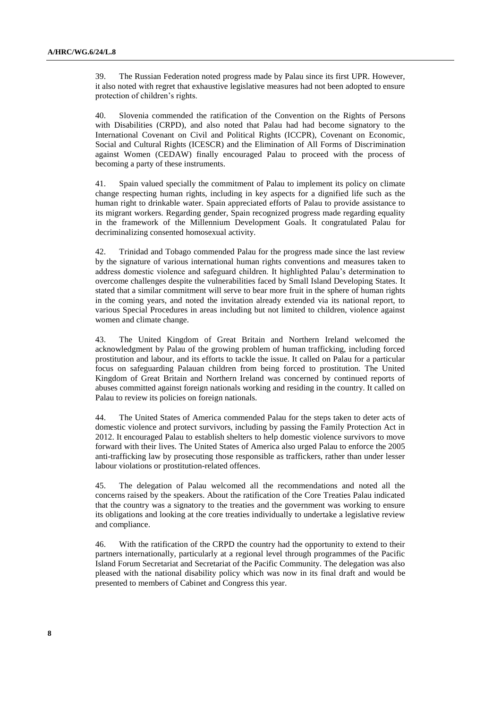39. The Russian Federation noted progress made by Palau since its first UPR. However, it also noted with regret that exhaustive legislative measures had not been adopted to ensure protection of children's rights.

40. Slovenia commended the ratification of the Convention on the Rights of Persons with Disabilities (CRPD), and also noted that Palau had had become signatory to the International Covenant on Civil and Political Rights (ICCPR), Covenant on Economic, Social and Cultural Rights (ICESCR) and the Elimination of All Forms of Discrimination against Women (CEDAW) finally encouraged Palau to proceed with the process of becoming a party of these instruments.

41. Spain valued specially the commitment of Palau to implement its policy on climate change respecting human rights, including in key aspects for a dignified life such as the human right to drinkable water. Spain appreciated efforts of Palau to provide assistance to its migrant workers. Regarding gender, Spain recognized progress made regarding equality in the framework of the Millennium Development Goals. It congratulated Palau for decriminalizing consented homosexual activity.

42. Trinidad and Tobago commended Palau for the progress made since the last review by the signature of various international human rights conventions and measures taken to address domestic violence and safeguard children. It highlighted Palau's determination to overcome challenges despite the vulnerabilities faced by Small Island Developing States. It stated that a similar commitment will serve to bear more fruit in the sphere of human rights in the coming years, and noted the invitation already extended via its national report, to various Special Procedures in areas including but not limited to children, violence against women and climate change.

43. The United Kingdom of Great Britain and Northern Ireland welcomed the acknowledgment by Palau of the growing problem of human trafficking, including forced prostitution and labour, and its efforts to tackle the issue. It called on Palau for a particular focus on safeguarding Palauan children from being forced to prostitution. The United Kingdom of Great Britain and Northern Ireland was concerned by continued reports of abuses committed against foreign nationals working and residing in the country. It called on Palau to review its policies on foreign nationals.

44. The United States of America commended Palau for the steps taken to deter acts of domestic violence and protect survivors, including by passing the Family Protection Act in 2012. It encouraged Palau to establish shelters to help domestic violence survivors to move forward with their lives. The United States of America also urged Palau to enforce the 2005 anti-trafficking law by prosecuting those responsible as traffickers, rather than under lesser labour violations or prostitution-related offences.

45. The delegation of Palau welcomed all the recommendations and noted all the concerns raised by the speakers. About the ratification of the Core Treaties Palau indicated that the country was a signatory to the treaties and the government was working to ensure its obligations and looking at the core treaties individually to undertake a legislative review and compliance.

46. With the ratification of the CRPD the country had the opportunity to extend to their partners internationally, particularly at a regional level through programmes of the Pacific Island Forum Secretariat and Secretariat of the Pacific Community. The delegation was also pleased with the national disability policy which was now in its final draft and would be presented to members of Cabinet and Congress this year.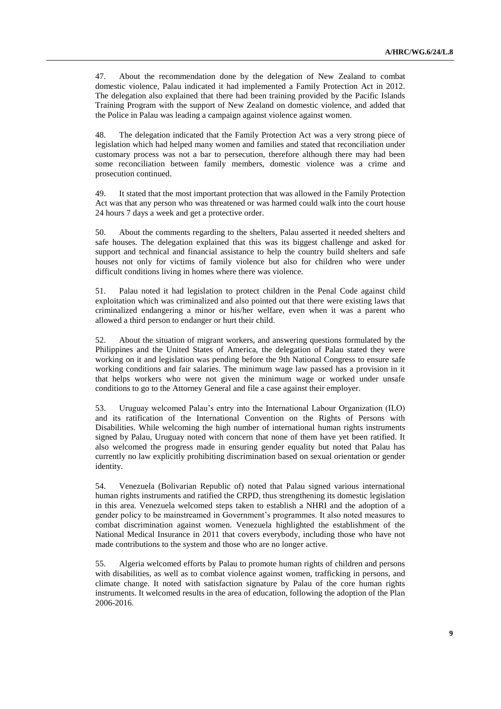47. About the recommendation done by the delegation of New Zealand to combat domestic violence, Palau indicated it had implemented a Family Protection Act in 2012. The delegation also explained that there had been training provided by the Pacific Islands Training Program with the support of New Zealand on domestic violence, and added that the Police in Palau was leading a campaign against violence against women.

48. The delegation indicated that the Family Protection Act was a very strong piece of legislation which had helped many women and families and stated that reconciliation under customary process was not a bar to persecution, therefore although there may had been some reconciliation between family members, domestic violence was a crime and prosecution continued.

49. It stated that the most important protection that was allowed in the Family Protection Act was that any person who was threatened or was harmed could walk into the court house 24 hours 7 days a week and get a protective order.

50. About the comments regarding to the shelters, Palau asserted it needed shelters and safe houses. The delegation explained that this was its biggest challenge and asked for support and technical and financial assistance to help the country build shelters and safe houses not only for victims of family violence but also for children who were under difficult conditions living in homes where there was violence.

51. Palau noted it had legislation to protect children in the Penal Code against child exploitation which was criminalized and also pointed out that there were existing laws that criminalized endangering a minor or his/her welfare, even when it was a parent who allowed a third person to endanger or hurt their child.

52. About the situation of migrant workers, and answering questions formulated by the Philippines and the United States of America, the delegation of Palau stated they were working on it and legislation was pending before the 9th National Congress to ensure safe working conditions and fair salaries. The minimum wage law passed has a provision in it that helps workers who were not given the minimum wage or worked under unsafe conditions to go to the Attorney General and file a case against their employer.

53. Uruguay welcomed Palau's entry into the International Labour Organization (ILO) and its ratification of the International Convention on the Rights of Persons with Disabilities. While welcoming the high number of international human rights instruments signed by Palau, Uruguay noted with concern that none of them have yet been ratified. It also welcomed the progress made in ensuring gender equality but noted that Palau has currently no law explicitly prohibiting discrimination based on sexual orientation or gender identity.

54. Venezuela (Bolivarian Republic of) noted that Palau signed various international human rights instruments and ratified the CRPD, thus strengthening its domestic legislation in this area. Venezuela welcomed steps taken to establish a NHRI and the adoption of a gender policy to be mainstreamed in Government's programmes. It also noted measures to combat discrimination against women. Venezuela highlighted the establishment of the National Medical Insurance in 2011 that covers everybody, including those who have not made contributions to the system and those who are no longer active.

55. Algeria welcomed efforts by Palau to promote human rights of children and persons with disabilities, as well as to combat violence against women, trafficking in persons, and climate change. It noted with satisfaction signature by Palau of the core human rights instruments. It welcomed results in the area of education, following the adoption of the Plan 2006-2016.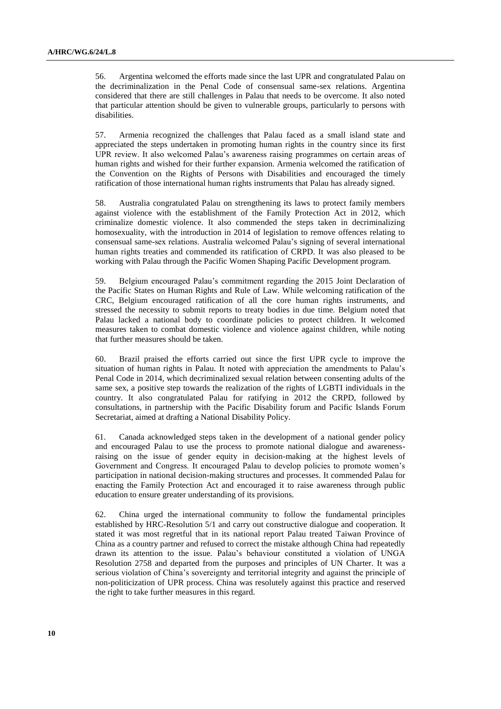56. Argentina welcomed the efforts made since the last UPR and congratulated Palau on the decriminalization in the Penal Code of consensual same-sex relations. Argentina considered that there are still challenges in Palau that needs to be overcome. It also noted that particular attention should be given to vulnerable groups, particularly to persons with disabilities.

57. Armenia recognized the challenges that Palau faced as a small island state and appreciated the steps undertaken in promoting human rights in the country since its first UPR review. It also welcomed Palau's awareness raising programmes on certain areas of human rights and wished for their further expansion. Armenia welcomed the ratification of the Convention on the Rights of Persons with Disabilities and encouraged the timely ratification of those international human rights instruments that Palau has already signed.

58. Australia congratulated Palau on strengthening its laws to protect family members against violence with the establishment of the Family Protection Act in 2012, which criminalize domestic violence. It also commended the steps taken in decriminalizing homosexuality, with the introduction in 2014 of legislation to remove offences relating to consensual same-sex relations. Australia welcomed Palau's signing of several international human rights treaties and commended its ratification of CRPD. It was also pleased to be working with Palau through the Pacific Women Shaping Pacific Development program.

59. Belgium encouraged Palau's commitment regarding the 2015 Joint Declaration of the Pacific States on Human Rights and Rule of Law. While welcoming ratification of the CRC, Belgium encouraged ratification of all the core human rights instruments, and stressed the necessity to submit reports to treaty bodies in due time. Belgium noted that Palau lacked a national body to coordinate policies to protect children. It welcomed measures taken to combat domestic violence and violence against children, while noting that further measures should be taken.

60. Brazil praised the efforts carried out since the first UPR cycle to improve the situation of human rights in Palau. It noted with appreciation the amendments to Palau's Penal Code in 2014, which decriminalized sexual relation between consenting adults of the same sex, a positive step towards the realization of the rights of LGBTI individuals in the country. It also congratulated Palau for ratifying in 2012 the CRPD, followed by consultations, in partnership with the Pacific Disability forum and Pacific Islands Forum Secretariat, aimed at drafting a National Disability Policy.

61. Canada acknowledged steps taken in the development of a national gender policy and encouraged Palau to use the process to promote national dialogue and awarenessraising on the issue of gender equity in decision-making at the highest levels of Government and Congress. It encouraged Palau to develop policies to promote women's participation in national decision-making structures and processes. It commended Palau for enacting the Family Protection Act and encouraged it to raise awareness through public education to ensure greater understanding of its provisions.

62. China urged the international community to follow the fundamental principles established by HRC-Resolution 5/1 and carry out constructive dialogue and cooperation. It stated it was most regretful that in its national report Palau treated Taiwan Province of China as a country partner and refused to correct the mistake although China had repeatedly drawn its attention to the issue. Palau's behaviour constituted a violation of UNGA Resolution 2758 and departed from the purposes and principles of UN Charter. It was a serious violation of China's sovereignty and territorial integrity and against the principle of non-politicization of UPR process. China was resolutely against this practice and reserved the right to take further measures in this regard.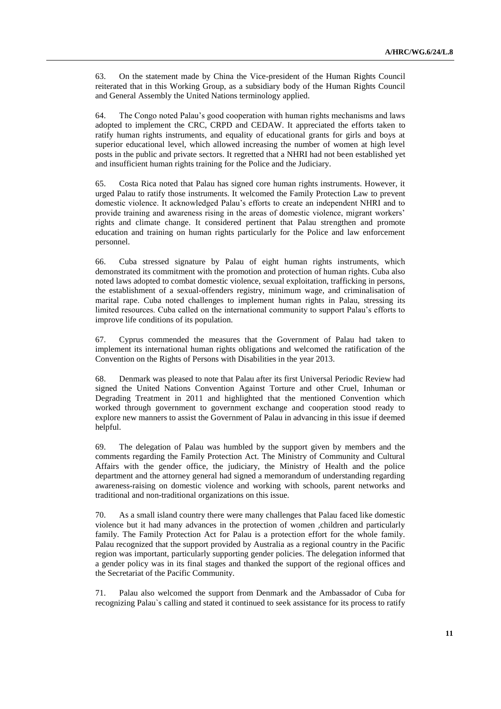63. On the statement made by China the Vice-president of the Human Rights Council reiterated that in this Working Group, as a subsidiary body of the Human Rights Council and General Assembly the United Nations terminology applied.

64. The Congo noted Palau's good cooperation with human rights mechanisms and laws adopted to implement the CRC, CRPD and CEDAW. It appreciated the efforts taken to ratify human rights instruments, and equality of educational grants for girls and boys at superior educational level, which allowed increasing the number of women at high level posts in the public and private sectors. It regretted that a NHRI had not been established yet and insufficient human rights training for the Police and the Judiciary.

65. Costa Rica noted that Palau has signed core human rights instruments. However, it urged Palau to ratify those instruments. It welcomed the Family Protection Law to prevent domestic violence. It acknowledged Palau's efforts to create an independent NHRI and to provide training and awareness rising in the areas of domestic violence, migrant workers' rights and climate change. It considered pertinent that Palau strengthen and promote education and training on human rights particularly for the Police and law enforcement personnel.

66. Cuba stressed signature by Palau of eight human rights instruments, which demonstrated its commitment with the promotion and protection of human rights. Cuba also noted laws adopted to combat domestic violence, sexual exploitation, trafficking in persons, the establishment of a sexual-offenders registry, minimum wage, and criminalisation of marital rape. Cuba noted challenges to implement human rights in Palau, stressing its limited resources. Cuba called on the international community to support Palau's efforts to improve life conditions of its population.

67. Cyprus commended the measures that the Government of Palau had taken to implement its international human rights obligations and welcomed the ratification of the Convention on the Rights of Persons with Disabilities in the year 2013.

68. Denmark was pleased to note that Palau after its first Universal Periodic Review had signed the United Nations Convention Against Torture and other Cruel, Inhuman or Degrading Treatment in 2011 and highlighted that the mentioned Convention which worked through government to government exchange and cooperation stood ready to explore new manners to assist the Government of Palau in advancing in this issue if deemed helpful.

69. The delegation of Palau was humbled by the support given by members and the comments regarding the Family Protection Act. The Ministry of Community and Cultural Affairs with the gender office, the judiciary, the Ministry of Health and the police department and the attorney general had signed a memorandum of understanding regarding awareness-raising on domestic violence and working with schools, parent networks and traditional and non-traditional organizations on this issue.

70. As a small island country there were many challenges that Palau faced like domestic violence but it had many advances in the protection of women ,children and particularly family. The Family Protection Act for Palau is a protection effort for the whole family. Palau recognized that the support provided by Australia as a regional country in the Pacific region was important, particularly supporting gender policies. The delegation informed that a gender policy was in its final stages and thanked the support of the regional offices and the Secretariat of the Pacific Community.

71. Palau also welcomed the support from Denmark and the Ambassador of Cuba for recognizing Palau`s calling and stated it continued to seek assistance for its process to ratify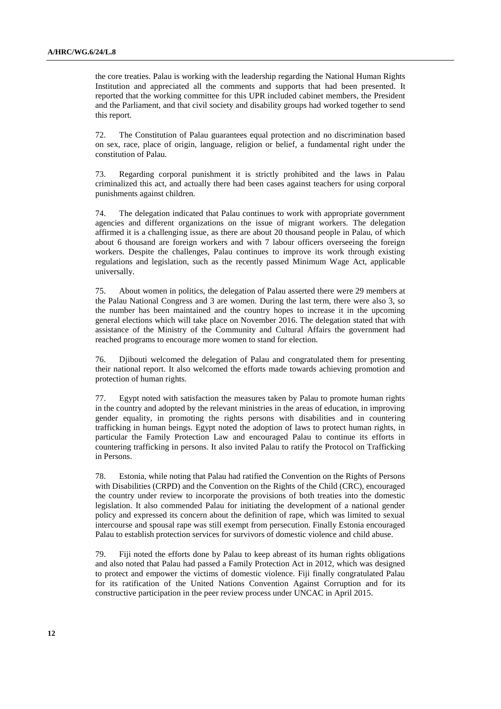the core treaties. Palau is working with the leadership regarding the National Human Rights Institution and appreciated all the comments and supports that had been presented. It reported that the working committee for this UPR included cabinet members, the President and the Parliament, and that civil society and disability groups had worked together to send this report.

72. The Constitution of Palau guarantees equal protection and no discrimination based on sex, race, place of origin, language, religion or belief, a fundamental right under the constitution of Palau.

73. Regarding corporal punishment it is strictly prohibited and the laws in Palau criminalized this act, and actually there had been cases against teachers for using corporal punishments against children.

74. The delegation indicated that Palau continues to work with appropriate government agencies and different organizations on the issue of migrant workers. The delegation affirmed it is a challenging issue, as there are about 20 thousand people in Palau, of which about 6 thousand are foreign workers and with 7 labour officers overseeing the foreign workers. Despite the challenges, Palau continues to improve its work through existing regulations and legislation, such as the recently passed Minimum Wage Act, applicable universally.

75. About women in politics, the delegation of Palau asserted there were 29 members at the Palau National Congress and 3 are women. During the last term, there were also 3, so the number has been maintained and the country hopes to increase it in the upcoming general elections which will take place on November 2016. The delegation stated that with assistance of the Ministry of the Community and Cultural Affairs the government had reached programs to encourage more women to stand for election.

76. Djibouti welcomed the delegation of Palau and congratulated them for presenting their national report. It also welcomed the efforts made towards achieving promotion and protection of human rights.

77. Egypt noted with satisfaction the measures taken by Palau to promote human rights in the country and adopted by the relevant ministries in the areas of education, in improving gender equality, in promoting the rights persons with disabilities and in countering trafficking in human beings. Egypt noted the adoption of laws to protect human rights, in particular the Family Protection Law and encouraged Palau to continue its efforts in countering trafficking in persons. It also invited Palau to ratify the Protocol on Trafficking in Persons.

78. Estonia, while noting that Palau had ratified the Convention on the Rights of Persons with Disabilities (CRPD) and the Convention on the Rights of the Child (CRC), encouraged the country under review to incorporate the provisions of both treaties into the domestic legislation. It also commended Palau for initiating the development of a national gender policy and expressed its concern about the definition of rape, which was limited to sexual intercourse and spousal rape was still exempt from persecution. Finally Estonia encouraged Palau to establish protection services for survivors of domestic violence and child abuse.

79. Fiji noted the efforts done by Palau to keep abreast of its human rights obligations and also noted that Palau had passed a Family Protection Act in 2012, which was designed to protect and empower the victims of domestic violence. Fiji finally congratulated Palau for its ratification of the United Nations Convention Against Corruption and for its constructive participation in the peer review process under UNCAC in April 2015.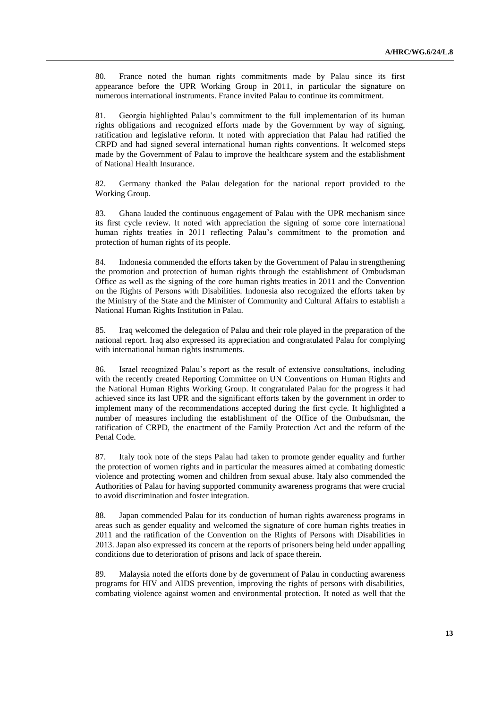80. France noted the human rights commitments made by Palau since its first appearance before the UPR Working Group in 2011, in particular the signature on numerous international instruments. France invited Palau to continue its commitment.

81. Georgia highlighted Palau's commitment to the full implementation of its human rights obligations and recognized efforts made by the Government by way of signing, ratification and legislative reform. It noted with appreciation that Palau had ratified the CRPD and had signed several international human rights conventions. It welcomed steps made by the Government of Palau to improve the healthcare system and the establishment of National Health Insurance.

82. Germany thanked the Palau delegation for the national report provided to the Working Group.

83. Ghana lauded the continuous engagement of Palau with the UPR mechanism since its first cycle review. It noted with appreciation the signing of some core international human rights treaties in 2011 reflecting Palau's commitment to the promotion and protection of human rights of its people.

84. Indonesia commended the efforts taken by the Government of Palau in strengthening the promotion and protection of human rights through the establishment of Ombudsman Office as well as the signing of the core human rights treaties in 2011 and the Convention on the Rights of Persons with Disabilities. Indonesia also recognized the efforts taken by the Ministry of the State and the Minister of Community and Cultural Affairs to establish a National Human Rights Institution in Palau.

85. Iraq welcomed the delegation of Palau and their role played in the preparation of the national report. Iraq also expressed its appreciation and congratulated Palau for complying with international human rights instruments.

86. Israel recognized Palau's report as the result of extensive consultations, including with the recently created Reporting Committee on UN Conventions on Human Rights and the National Human Rights Working Group. It congratulated Palau for the progress it had achieved since its last UPR and the significant efforts taken by the government in order to implement many of the recommendations accepted during the first cycle. It highlighted a number of measures including the establishment of the Office of the Ombudsman, the ratification of CRPD, the enactment of the Family Protection Act and the reform of the Penal Code.

87. Italy took note of the steps Palau had taken to promote gender equality and further the protection of women rights and in particular the measures aimed at combating domestic violence and protecting women and children from sexual abuse. Italy also commended the Authorities of Palau for having supported community awareness programs that were crucial to avoid discrimination and foster integration.

88. Japan commended Palau for its conduction of human rights awareness programs in areas such as gender equality and welcomed the signature of core human rights treaties in 2011 and the ratification of the Convention on the Rights of Persons with Disabilities in 2013. Japan also expressed its concern at the reports of prisoners being held under appalling conditions due to deterioration of prisons and lack of space therein.

89. Malaysia noted the efforts done by de government of Palau in conducting awareness programs for HIV and AIDS prevention, improving the rights of persons with disabilities, combating violence against women and environmental protection. It noted as well that the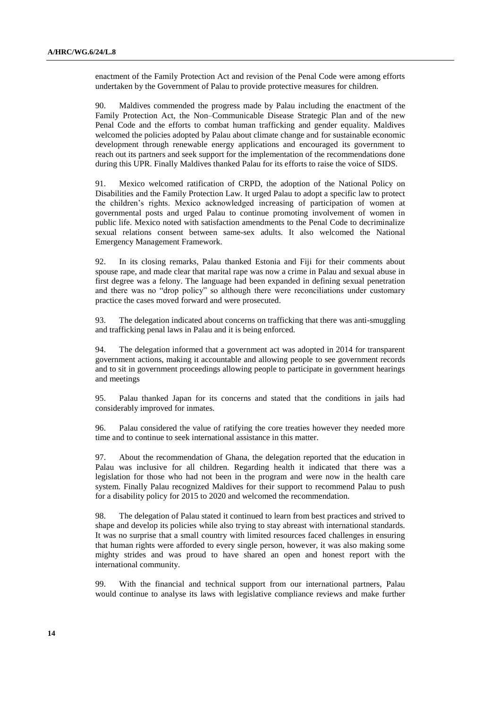enactment of the Family Protection Act and revision of the Penal Code were among efforts undertaken by the Government of Palau to provide protective measures for children.

90. Maldives commended the progress made by Palau including the enactment of the Family Protection Act, the Non–Communicable Disease Strategic Plan and of the new Penal Code and the efforts to combat human trafficking and gender equality. Maldives welcomed the policies adopted by Palau about climate change and for sustainable economic development through renewable energy applications and encouraged its government to reach out its partners and seek support for the implementation of the recommendations done during this UPR. Finally Maldives thanked Palau for its efforts to raise the voice of SIDS.

91. Mexico welcomed ratification of CRPD, the adoption of the National Policy on Disabilities and the Family Protection Law. It urged Palau to adopt a specific law to protect the children's rights. Mexico acknowledged increasing of participation of women at governmental posts and urged Palau to continue promoting involvement of women in public life. Mexico noted with satisfaction amendments to the Penal Code to decriminalize sexual relations consent between same-sex adults. It also welcomed the National Emergency Management Framework.

92. In its closing remarks, Palau thanked Estonia and Fiji for their comments about spouse rape, and made clear that marital rape was now a crime in Palau and sexual abuse in first degree was a felony. The language had been expanded in defining sexual penetration and there was no "drop policy" so although there were reconciliations under customary practice the cases moved forward and were prosecuted.

93. The delegation indicated about concerns on trafficking that there was anti-smuggling and trafficking penal laws in Palau and it is being enforced.

94. The delegation informed that a government act was adopted in 2014 for transparent government actions, making it accountable and allowing people to see government records and to sit in government proceedings allowing people to participate in government hearings and meetings

95. Palau thanked Japan for its concerns and stated that the conditions in jails had considerably improved for inmates.

96. Palau considered the value of ratifying the core treaties however they needed more time and to continue to seek international assistance in this matter.

97. About the recommendation of Ghana, the delegation reported that the education in Palau was inclusive for all children. Regarding health it indicated that there was a legislation for those who had not been in the program and were now in the health care system. Finally Palau recognized Maldives for their support to recommend Palau to push for a disability policy for 2015 to 2020 and welcomed the recommendation.

98. The delegation of Palau stated it continued to learn from best practices and strived to shape and develop its policies while also trying to stay abreast with international standards. It was no surprise that a small country with limited resources faced challenges in ensuring that human rights were afforded to every single person, however, it was also making some mighty strides and was proud to have shared an open and honest report with the international community.

99. With the financial and technical support from our international partners, Palau would continue to analyse its laws with legislative compliance reviews and make further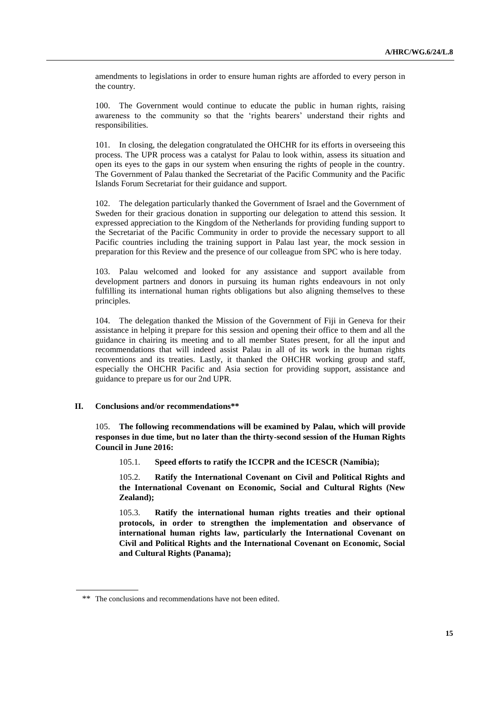amendments to legislations in order to ensure human rights are afforded to every person in the country.

100. The Government would continue to educate the public in human rights, raising awareness to the community so that the 'rights bearers' understand their rights and responsibilities.

101. In closing, the delegation congratulated the OHCHR for its efforts in overseeing this process. The UPR process was a catalyst for Palau to look within, assess its situation and open its eyes to the gaps in our system when ensuring the rights of people in the country. The Government of Palau thanked the Secretariat of the Pacific Community and the Pacific Islands Forum Secretariat for their guidance and support.

102. The delegation particularly thanked the Government of Israel and the Government of Sweden for their gracious donation in supporting our delegation to attend this session. It expressed appreciation to the Kingdom of the Netherlands for providing funding support to the Secretariat of the Pacific Community in order to provide the necessary support to all Pacific countries including the training support in Palau last year, the mock session in preparation for this Review and the presence of our colleague from SPC who is here today.

103. Palau welcomed and looked for any assistance and support available from development partners and donors in pursuing its human rights endeavours in not only fulfilling its international human rights obligations but also aligning themselves to these principles.

104. The delegation thanked the Mission of the Government of Fiji in Geneva for their assistance in helping it prepare for this session and opening their office to them and all the guidance in chairing its meeting and to all member States present, for all the input and recommendations that will indeed assist Palau in all of its work in the human rights conventions and its treaties. Lastly, it thanked the OHCHR working group and staff, especially the OHCHR Pacific and Asia section for providing support, assistance and guidance to prepare us for our 2nd UPR.

## **II. Conclusions and/or recommendations\*\***

105. **The following recommendations will be examined by Palau, which will provide responses in due time, but no later than the thirty-second session of the Human Rights Council in June 2016:**

105.1. **Speed efforts to ratify the ICCPR and the ICESCR (Namibia);**

105.2. **Ratify the International Covenant on Civil and Political Rights and the International Covenant on Economic, Social and Cultural Rights (New Zealand);**

105.3. **Ratify the international human rights treaties and their optional protocols, in order to strengthen the implementation and observance of international human rights law, particularly the International Covenant on Civil and Political Rights and the International Covenant on Economic, Social and Cultural Rights (Panama);**

<sup>\*\*</sup> The conclusions and recommendations have not been edited.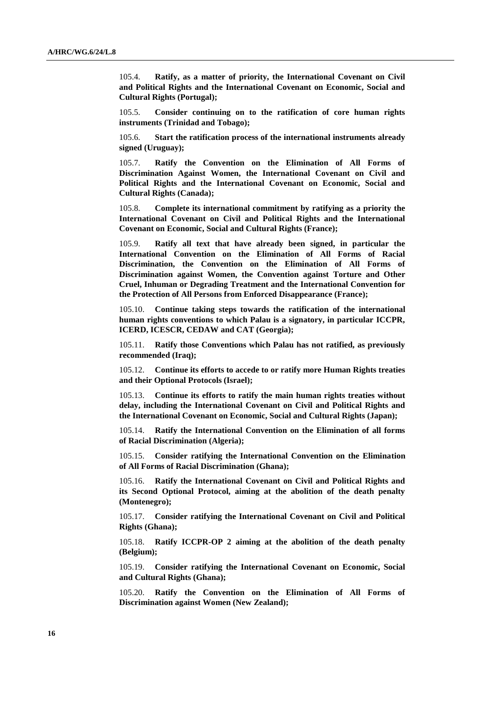105.4. **Ratify, as a matter of priority, the International Covenant on Civil and Political Rights and the International Covenant on Economic, Social and Cultural Rights (Portugal);**

105.5. **Consider continuing on to the ratification of core human rights instruments (Trinidad and Tobago);**

105.6. **Start the ratification process of the international instruments already signed (Uruguay);**

105.7. **Ratify the Convention on the Elimination of All Forms of Discrimination Against Women, the International Covenant on Civil and Political Rights and the International Covenant on Economic, Social and Cultural Rights (Canada);**

105.8. **Complete its international commitment by ratifying as a priority the International Covenant on Civil and Political Rights and the International Covenant on Economic, Social and Cultural Rights (France);**

105.9. **Ratify all text that have already been signed, in particular the International Convention on the Elimination of All Forms of Racial Discrimination, the Convention on the Elimination of All Forms of Discrimination against Women, the Convention against Torture and Other Cruel, Inhuman or Degrading Treatment and the International Convention for the Protection of All Persons from Enforced Disappearance (France);**

105.10. **Continue taking steps towards the ratification of the international human rights conventions to which Palau is a signatory, in particular ICCPR, ICERD, ICESCR, CEDAW and CAT (Georgia);**

105.11. **Ratify those Conventions which Palau has not ratified, as previously recommended (Iraq);**

105.12. **Continue its efforts to accede to or ratify more Human Rights treaties and their Optional Protocols (Israel);**

105.13. **Continue its efforts to ratify the main human rights treaties without delay, including the International Covenant on Civil and Political Rights and the International Covenant on Economic, Social and Cultural Rights (Japan);**

105.14. **Ratify the International Convention on the Elimination of all forms of Racial Discrimination (Algeria);**

105.15. **Consider ratifying the International Convention on the Elimination of All Forms of Racial Discrimination (Ghana);**

105.16. **Ratify the International Covenant on Civil and Political Rights and its Second Optional Protocol, aiming at the abolition of the death penalty (Montenegro);**

105.17. **Consider ratifying the International Covenant on Civil and Political Rights (Ghana);**

105.18. **Ratify ICCPR-OP 2 aiming at the abolition of the death penalty (Belgium);**

105.19. **Consider ratifying the International Covenant on Economic, Social and Cultural Rights (Ghana);**

105.20. **Ratify the Convention on the Elimination of All Forms of Discrimination against Women (New Zealand);**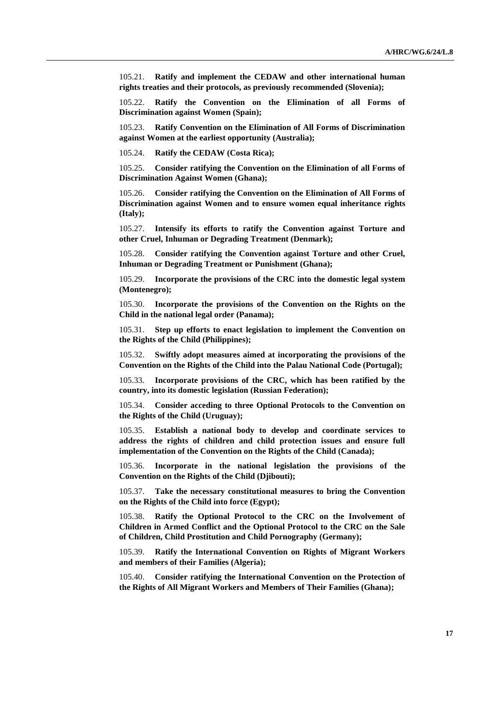105.21. **Ratify and implement the CEDAW and other international human rights treaties and their protocols, as previously recommended (Slovenia);**

105.22. **Ratify the Convention on the Elimination of all Forms of Discrimination against Women (Spain);**

105.23. **Ratify Convention on the Elimination of All Forms of Discrimination against Women at the earliest opportunity (Australia);**

105.24. **Ratify the CEDAW (Costa Rica);**

105.25. **Consider ratifying the Convention on the Elimination of all Forms of Discrimination Against Women (Ghana);**

105.26. **Consider ratifying the Convention on the Elimination of All Forms of Discrimination against Women and to ensure women equal inheritance rights (Italy);**

105.27. **Intensify its efforts to ratify the Convention against Torture and other Cruel, Inhuman or Degrading Treatment (Denmark);**

105.28. **Consider ratifying the Convention against Torture and other Cruel, Inhuman or Degrading Treatment or Punishment (Ghana);**

105.29. **Incorporate the provisions of the CRC into the domestic legal system (Montenegro);**

105.30. **Incorporate the provisions of the Convention on the Rights on the Child in the national legal order (Panama);**

105.31. **Step up efforts to enact legislation to implement the Convention on the Rights of the Child (Philippines);**

105.32. **Swiftly adopt measures aimed at incorporating the provisions of the Convention on the Rights of the Child into the Palau National Code (Portugal);**

105.33. **Incorporate provisions of the CRC, which has been ratified by the country, into its domestic legislation (Russian Federation);**

105.34. **Consider acceding to three Optional Protocols to the Convention on the Rights of the Child (Uruguay);**

105.35. **Establish a national body to develop and coordinate services to address the rights of children and child protection issues and ensure full implementation of the Convention on the Rights of the Child (Canada);**

105.36. **Incorporate in the national legislation the provisions of the Convention on the Rights of the Child (Djibouti);**

105.37. **Take the necessary constitutional measures to bring the Convention on the Rights of the Child into force (Egypt);**

105.38. **Ratify the Optional Protocol to the CRC on the Involvement of Children in Armed Conflict and the Optional Protocol to the CRC on the Sale of Children, Child Prostitution and Child Pornography (Germany);**

105.39. **Ratify the International Convention on Rights of Migrant Workers and members of their Families (Algeria);**

105.40. **Consider ratifying the International Convention on the Protection of the Rights of All Migrant Workers and Members of Their Families (Ghana);**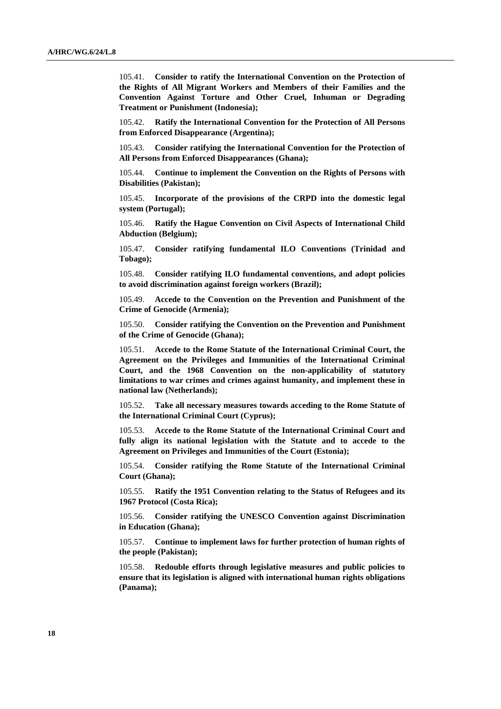105.41. **Consider to ratify the International Convention on the Protection of the Rights of All Migrant Workers and Members of their Families and the Convention Against Torture and Other Cruel, Inhuman or Degrading Treatment or Punishment (Indonesia);**

105.42. **Ratify the International Convention for the Protection of All Persons from Enforced Disappearance (Argentina);**

105.43. **Consider ratifying the International Convention for the Protection of All Persons from Enforced Disappearances (Ghana);**

105.44. **Continue to implement the Convention on the Rights of Persons with Disabilities (Pakistan);**

105.45. **Incorporate of the provisions of the CRPD into the domestic legal system (Portugal);**

105.46. **Ratify the Hague Convention on Civil Aspects of International Child Abduction (Belgium);**

105.47. **Consider ratifying fundamental ILO Conventions (Trinidad and Tobago);**

105.48. **Consider ratifying ILO fundamental conventions, and adopt policies to avoid discrimination against foreign workers (Brazil);**

105.49. **Accede to the Convention on the Prevention and Punishment of the Crime of Genocide (Armenia);**

105.50. **Consider ratifying the Convention on the Prevention and Punishment of the Crime of Genocide (Ghana);**

Accede to the Rome Statute of the International Criminal Court, the **Agreement on the Privileges and Immunities of the International Criminal Court, and the 1968 Convention on the non-applicability of statutory limitations to war crimes and crimes against humanity, and implement these in national law (Netherlands);**

105.52. **Take all necessary measures towards acceding to the Rome Statute of the International Criminal Court (Cyprus);**

105.53. **Accede to the Rome Statute of the International Criminal Court and fully align its national legislation with the Statute and to accede to the Agreement on Privileges and Immunities of the Court (Estonia);**

105.54. **Consider ratifying the Rome Statute of the International Criminal Court (Ghana);**

105.55. **Ratify the 1951 Convention relating to the Status of Refugees and its 1967 Protocol (Costa Rica);**

105.56. **Consider ratifying the UNESCO Convention against Discrimination in Education (Ghana);**

105.57. **Continue to implement laws for further protection of human rights of the people (Pakistan);**

105.58. **Redouble efforts through legislative measures and public policies to ensure that its legislation is aligned with international human rights obligations (Panama);**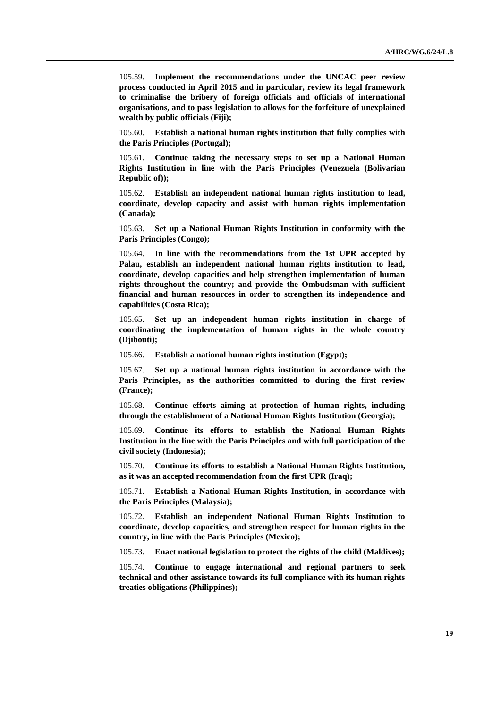105.59. **Implement the recommendations under the UNCAC peer review process conducted in April 2015 and in particular, review its legal framework to criminalise the bribery of foreign officials and officials of international organisations, and to pass legislation to allows for the forfeiture of unexplained wealth by public officials (Fiji);**

105.60. **Establish a national human rights institution that fully complies with the Paris Principles (Portugal);**

105.61. **Continue taking the necessary steps to set up a National Human Rights Institution in line with the Paris Principles (Venezuela (Bolivarian Republic of));**

105.62. **Establish an independent national human rights institution to lead, coordinate, develop capacity and assist with human rights implementation (Canada);**

105.63. **Set up a National Human Rights Institution in conformity with the Paris Principles (Congo);**

105.64. **In line with the recommendations from the 1st UPR accepted by Palau, establish an independent national human rights institution to lead, coordinate, develop capacities and help strengthen implementation of human rights throughout the country; and provide the Ombudsman with sufficient financial and human resources in order to strengthen its independence and capabilities (Costa Rica);**

105.65. **Set up an independent human rights institution in charge of coordinating the implementation of human rights in the whole country (Djibouti);**

105.66. **Establish a national human rights institution (Egypt);**

105.67. **Set up a national human rights institution in accordance with the Paris Principles, as the authorities committed to during the first review (France);**

105.68. **Continue efforts aiming at protection of human rights, including through the establishment of a National Human Rights Institution (Georgia);**

105.69. **Continue its efforts to establish the National Human Rights Institution in the line with the Paris Principles and with full participation of the civil society (Indonesia);**

105.70. **Continue its efforts to establish a National Human Rights Institution, as it was an accepted recommendation from the first UPR (Iraq);**

105.71. **Establish a National Human Rights Institution, in accordance with the Paris Principles (Malaysia);**

105.72. **Establish an independent National Human Rights Institution to coordinate, develop capacities, and strengthen respect for human rights in the country, in line with the Paris Principles (Mexico);**

105.73. **Enact national legislation to protect the rights of the child (Maldives);**

105.74. **Continue to engage international and regional partners to seek technical and other assistance towards its full compliance with its human rights treaties obligations (Philippines);**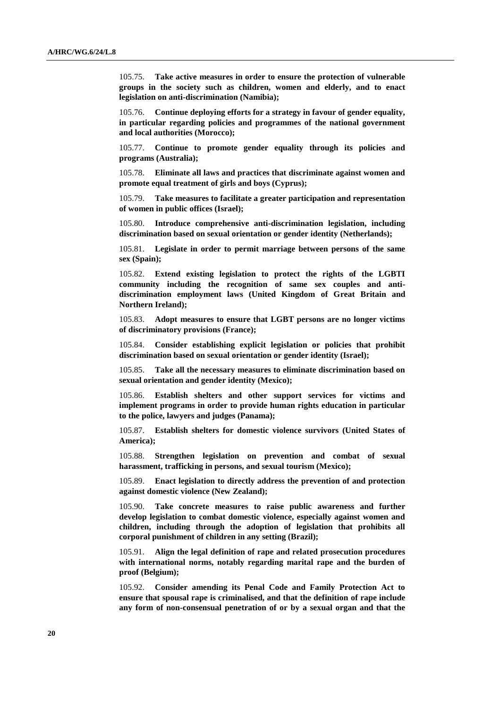105.75. **Take active measures in order to ensure the protection of vulnerable groups in the society such as children, women and elderly, and to enact legislation on anti-discrimination (Namibia);**

105.76. **Continue deploying efforts for a strategy in favour of gender equality, in particular regarding policies and programmes of the national government and local authorities (Morocco);**

105.77. **Continue to promote gender equality through its policies and programs (Australia);**

105.78. **Eliminate all laws and practices that discriminate against women and promote equal treatment of girls and boys (Cyprus);**

105.79. **Take measures to facilitate a greater participation and representation of women in public offices (Israel);**

105.80. **Introduce comprehensive anti-discrimination legislation, including discrimination based on sexual orientation or gender identity (Netherlands);**

105.81. **Legislate in order to permit marriage between persons of the same sex (Spain);**

105.82. **Extend existing legislation to protect the rights of the LGBTI community including the recognition of same sex couples and antidiscrimination employment laws (United Kingdom of Great Britain and Northern Ireland);**

105.83. **Adopt measures to ensure that LGBT persons are no longer victims of discriminatory provisions (France);**

105.84. **Consider establishing explicit legislation or policies that prohibit discrimination based on sexual orientation or gender identity (Israel);**

105.85. **Take all the necessary measures to eliminate discrimination based on sexual orientation and gender identity (Mexico);**

105.86. **Establish shelters and other support services for victims and implement programs in order to provide human rights education in particular to the police, lawyers and judges (Panama);**

105.87. **Establish shelters for domestic violence survivors (United States of America);**

105.88. **Strengthen legislation on prevention and combat of sexual harassment, trafficking in persons, and sexual tourism (Mexico);**

105.89. **Enact legislation to directly address the prevention of and protection against domestic violence (New Zealand);**

105.90. **Take concrete measures to raise public awareness and further develop legislation to combat domestic violence, especially against women and children, including through the adoption of legislation that prohibits all corporal punishment of children in any setting (Brazil);**

105.91. **Align the legal definition of rape and related prosecution procedures with international norms, notably regarding marital rape and the burden of proof (Belgium);**

105.92. **Consider amending its Penal Code and Family Protection Act to ensure that spousal rape is criminalised, and that the definition of rape include any form of non-consensual penetration of or by a sexual organ and that the**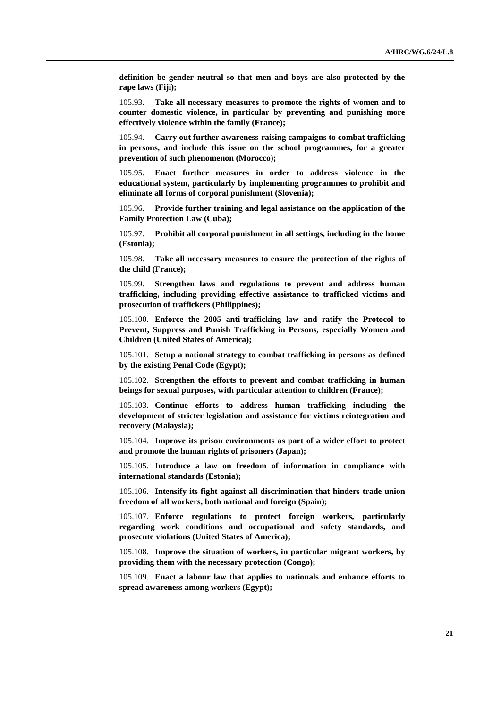**definition be gender neutral so that men and boys are also protected by the rape laws (Fiji);**

105.93. **Take all necessary measures to promote the rights of women and to counter domestic violence, in particular by preventing and punishing more effectively violence within the family (France);**

105.94. **Carry out further awareness-raising campaigns to combat trafficking in persons, and include this issue on the school programmes, for a greater prevention of such phenomenon (Morocco);**

105.95. **Enact further measures in order to address violence in the educational system, particularly by implementing programmes to prohibit and eliminate all forms of corporal punishment (Slovenia);**

105.96. **Provide further training and legal assistance on the application of the Family Protection Law (Cuba);**

105.97. **Prohibit all corporal punishment in all settings, including in the home (Estonia);**

105.98. **Take all necessary measures to ensure the protection of the rights of the child (France);**

105.99. **Strengthen laws and regulations to prevent and address human trafficking, including providing effective assistance to trafficked victims and prosecution of traffickers (Philippines);**

105.100. **Enforce the 2005 anti-trafficking law and ratify the Protocol to Prevent, Suppress and Punish Trafficking in Persons, especially Women and Children (United States of America);**

105.101. **Setup a national strategy to combat trafficking in persons as defined by the existing Penal Code (Egypt);**

105.102. **Strengthen the efforts to prevent and combat trafficking in human beings for sexual purposes, with particular attention to children (France);**

105.103. **Continue efforts to address human trafficking including the development of stricter legislation and assistance for victims reintegration and recovery (Malaysia);**

105.104. **Improve its prison environments as part of a wider effort to protect and promote the human rights of prisoners (Japan);**

105.105. **Introduce a law on freedom of information in compliance with international standards (Estonia);**

105.106. **Intensify its fight against all discrimination that hinders trade union freedom of all workers, both national and foreign (Spain);**

105.107. **Enforce regulations to protect foreign workers, particularly regarding work conditions and occupational and safety standards, and prosecute violations (United States of America);**

105.108. **Improve the situation of workers, in particular migrant workers, by providing them with the necessary protection (Congo);**

105.109. **Enact a labour law that applies to nationals and enhance efforts to spread awareness among workers (Egypt);**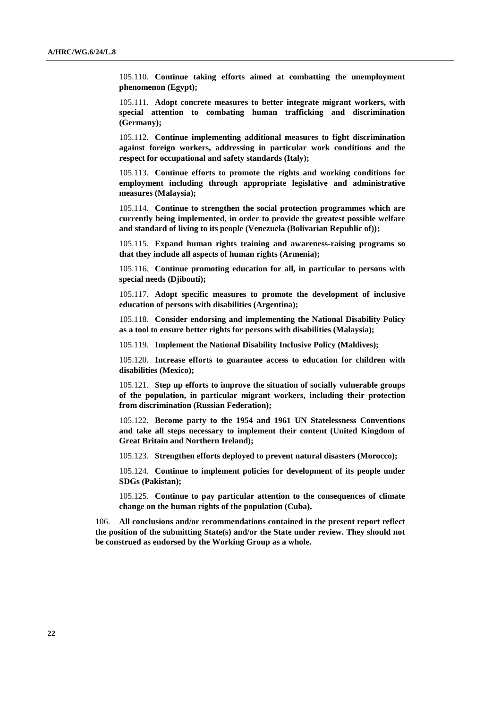105.110. **Continue taking efforts aimed at combatting the unemployment phenomenon (Egypt);**

105.111. **Adopt concrete measures to better integrate migrant workers, with special attention to combating human trafficking and discrimination (Germany);**

105.112. **Continue implementing additional measures to fight discrimination against foreign workers, addressing in particular work conditions and the respect for occupational and safety standards (Italy);**

105.113. **Continue efforts to promote the rights and working conditions for employment including through appropriate legislative and administrative measures (Malaysia);**

105.114. **Continue to strengthen the social protection programmes which are currently being implemented, in order to provide the greatest possible welfare and standard of living to its people (Venezuela (Bolivarian Republic of));**

105.115. **Expand human rights training and awareness-raising programs so that they include all aspects of human rights (Armenia);**

105.116. **Continue promoting education for all, in particular to persons with special needs (Djibouti);**

105.117. **Adopt specific measures to promote the development of inclusive education of persons with disabilities (Argentina);**

105.118. **Consider endorsing and implementing the National Disability Policy as a tool to ensure better rights for persons with disabilities (Malaysia);**

105.119. **Implement the National Disability Inclusive Policy (Maldives);**

105.120. **Increase efforts to guarantee access to education for children with disabilities (Mexico);**

105.121. **Step up efforts to improve the situation of socially vulnerable groups of the population, in particular migrant workers, including their protection from discrimination (Russian Federation);**

105.122. **Become party to the 1954 and 1961 UN Statelessness Conventions and take all steps necessary to implement their content (United Kingdom of Great Britain and Northern Ireland);**

105.123. **Strengthen efforts deployed to prevent natural disasters (Morocco);**

105.124. **Continue to implement policies for development of its people under SDGs (Pakistan);**

105.125. **Continue to pay particular attention to the consequences of climate change on the human rights of the population (Cuba).**

106. **All conclusions and/or recommendations contained in the present report reflect the position of the submitting State(s) and/or the State under review. They should not be construed as endorsed by the Working Group as a whole.**